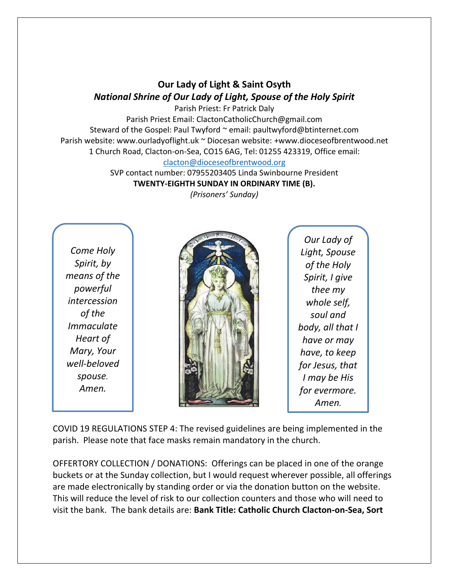## **Our Lady of Light & Saint Osyth** *National Shrine of Our Lady of Light, Spouse of the Holy Spirit*

Parish Priest: Fr Patrick Daly Parish Priest Email: ClactonCatholicChurch@gmail.com Steward of the Gospel: Paul Twyford ~ email: paultwyford@btinternet.com Parish website: www.ourladyoflight.uk ~ Diocesan website: +www.dioceseofbrentwood.net 1 Church Road, Clacton-on-Sea, CO15 6AG, Tel: 01255 423319, Office email: [clacton@dioceseofbrentwood.org](mailto:clacton@dioceseofbrentwood.org)

> SVP contact number: 07955203405 Linda Swinbourne President **TWENTY-EIGHTH SUNDAY IN ORDINARY TIME (B).**

*(Prisoners' Sunday)*

*Come Holy Spirit, by means of the powerful intercession of the Immaculate Heart of Mary, Your well-beloved spouse. Amen.*



*Our Lady of Light, Spouse of the Holy Spirit, I give thee my whole self, soul and body, all that I have or may have, to keep for Jesus, that I may be His for evermore. Amen.*

COVID 19 REGULATIONS STEP 4: The revised guidelines are being implemented in the parish. Please note that face masks remain mandatory in the church.

OFFERTORY COLLECTION / DONATIONS: Offerings can be placed in one of the orange buckets or at the Sunday collection, but I would request wherever possible, all offerings are made electronically by standing order or via the donation button on the website. This will reduce the level of risk to our collection counters and those who will need to visit the bank. The bank details are: **Bank Title: Catholic Church Clacton-on-Sea, Sort**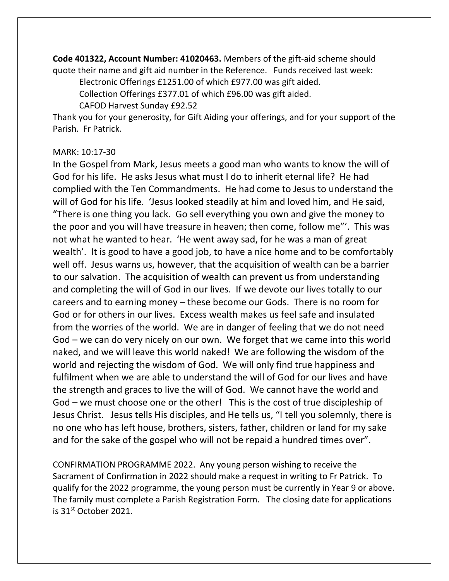**Code 401322, Account Number: 41020463.** Members of the gift-aid scheme should quote their name and gift aid number in the Reference. Funds received last week:

Electronic Offerings £1251.00 of which £977.00 was gift aided.

Collection Offerings £377.01 of which £96.00 was gift aided.

CAFOD Harvest Sunday £92.52

Thank you for your generosity, for Gift Aiding your offerings, and for your support of the Parish. Fr Patrick.

## MARK: 10:17-30

In the Gospel from Mark, Jesus meets a good man who wants to know the will of God for his life. He asks Jesus what must I do to inherit eternal life? He had complied with the Ten Commandments. He had come to Jesus to understand the will of God for his life. 'Jesus looked steadily at him and loved him, and He said, "There is one thing you lack. Go sell everything you own and give the money to the poor and you will have treasure in heaven; then come, follow me"'. This was not what he wanted to hear. 'He went away sad, for he was a man of great wealth'. It is good to have a good job, to have a nice home and to be comfortably well off. Jesus warns us, however, that the acquisition of wealth can be a barrier to our salvation. The acquisition of wealth can prevent us from understanding and completing the will of God in our lives. If we devote our lives totally to our careers and to earning money – these become our Gods. There is no room for God or for others in our lives. Excess wealth makes us feel safe and insulated from the worries of the world. We are in danger of feeling that we do not need God – we can do very nicely on our own. We forget that we came into this world naked, and we will leave this world naked! We are following the wisdom of the world and rejecting the wisdom of God. We will only find true happiness and fulfilment when we are able to understand the will of God for our lives and have the strength and graces to live the will of God. We cannot have the world and God – we must choose one or the other! This is the cost of true discipleship of Jesus Christ. Jesus tells His disciples, and He tells us, "I tell you solemnly, there is no one who has left house, brothers, sisters, father, children or land for my sake and for the sake of the gospel who will not be repaid a hundred times over".

CONFIRMATION PROGRAMME 2022. Any young person wishing to receive the Sacrament of Confirmation in 2022 should make a request in writing to Fr Patrick. To qualify for the 2022 programme, the young person must be currently in Year 9 or above. The family must complete a Parish Registration Form. The closing date for applications is 31st October 2021.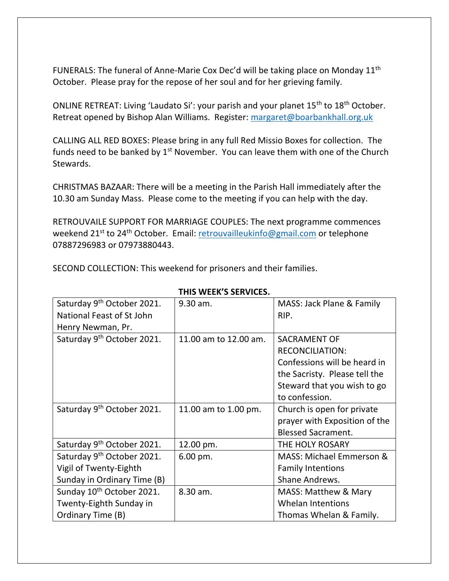FUNERALS: The funeral of Anne-Marie Cox Dec'd will be taking place on Monday 11<sup>th</sup> October. Please pray for the repose of her soul and for her grieving family.

ONLINE RETREAT: Living 'Laudato Si': your parish and your planet 15th to 18th October. Retreat opened by Bishop Alan Williams. Register: [margaret@boarbankhall.org.uk](mailto:margaret@boarbankhall.org.uk)

CALLING ALL RED BOXES: Please bring in any full Red Missio Boxes for collection. The funds need to be banked by  $1<sup>st</sup>$  November. You can leave them with one of the Church Stewards.

CHRISTMAS BAZAAR: There will be a meeting in the Parish Hall immediately after the 10.30 am Sunday Mass. Please come to the meeting if you can help with the day.

RETROUVAILE SUPPORT FOR MARRIAGE COUPLES: The next programme commences weekend 21<sup>st</sup> to 24<sup>th</sup> October. Email: [retrouvailleukinfo@gmail.com](mailto:retrouvailleukinfo@gmail.com) or telephone 07887296983 or 07973880443.

SECOND COLLECTION: This weekend for prisoners and their families.

| Saturday 9 <sup>th</sup> October 2021. | 9.30 am.              | MASS: Jack Plane & Family       |
|----------------------------------------|-----------------------|---------------------------------|
| National Feast of St John              |                       | RIP.                            |
| Henry Newman, Pr.                      |                       |                                 |
| Saturday 9 <sup>th</sup> October 2021. | 11.00 am to 12.00 am. | <b>SACRAMENT OF</b>             |
|                                        |                       | <b>RECONCILIATION:</b>          |
|                                        |                       | Confessions will be heard in    |
|                                        |                       | the Sacristy. Please tell the   |
|                                        |                       | Steward that you wish to go     |
|                                        |                       | to confession.                  |
| Saturday 9 <sup>th</sup> October 2021. | 11.00 am to 1.00 pm.  | Church is open for private      |
|                                        |                       | prayer with Exposition of the   |
|                                        |                       | <b>Blessed Sacrament.</b>       |
| Saturday 9 <sup>th</sup> October 2021. | 12.00 pm.             | THE HOLY ROSARY                 |
| Saturday 9 <sup>th</sup> October 2021. | 6.00 pm.              | MASS: Michael Emmerson &        |
| Vigil of Twenty-Eighth                 |                       | <b>Family Intentions</b>        |
| Sunday in Ordinary Time (B)            |                       | Shane Andrews.                  |
| Sunday 10 <sup>th</sup> October 2021.  | 8.30 am.              | <b>MASS: Matthew &amp; Mary</b> |
| Twenty-Eighth Sunday in                |                       | <b>Whelan Intentions</b>        |
| Ordinary Time (B)                      |                       | Thomas Whelan & Family.         |

## **THIS WEEK'S SERVICES.**